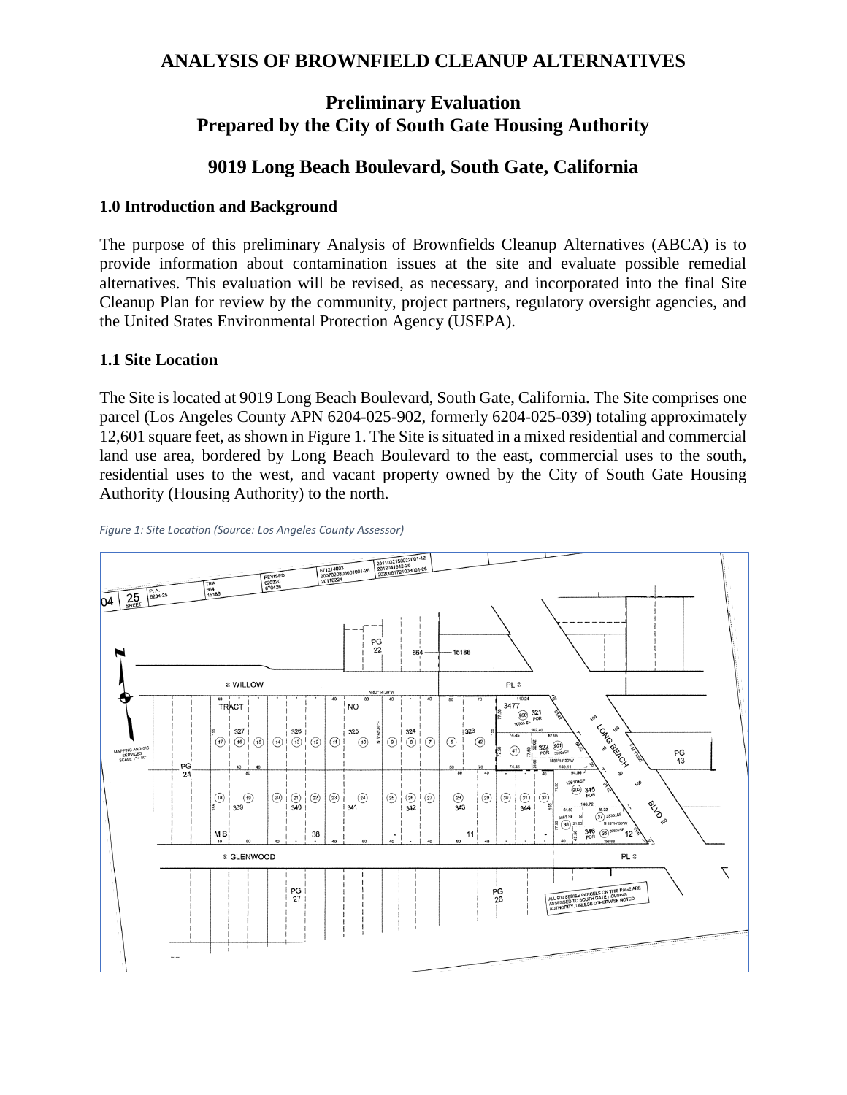## **ANALYSIS OF BROWNFIELD CLEANUP ALTERNATIVES**

# **Preliminary Evaluation Prepared by the City of South Gate Housing Authority**

## **9019 Long Beach Boulevard, South Gate, California**

#### **1.0 Introduction and Background**

The purpose of this preliminary Analysis of Brownfields Cleanup Alternatives (ABCA) is to provide information about contamination issues at the site and evaluate possible remedial alternatives. This evaluation will be revised, as necessary, and incorporated into the final Site Cleanup Plan for review by the community, project partners, regulatory oversight agencies, and the United States Environmental Protection Agency (USEPA).

#### **1.1 Site Location**

The Site is located at 9019 Long Beach Boulevard, South Gate, California. The Site comprises one parcel (Los Angeles County APN 6204-025-902, formerly 6204-025-039) totaling approximately 12,601 square feet, as shown in [Figure 1.](#page-0-0) The Site is situated in a mixed residential and commercial land use area, bordered by Long Beach Boulevard to the east, commercial uses to the south, residential uses to the west, and vacant property owned by the City of South Gate Housing Authority (Housing Authority) to the north.



<span id="page-0-0"></span>*Figure 1: Site Location (Source: Los Angeles County Assessor)*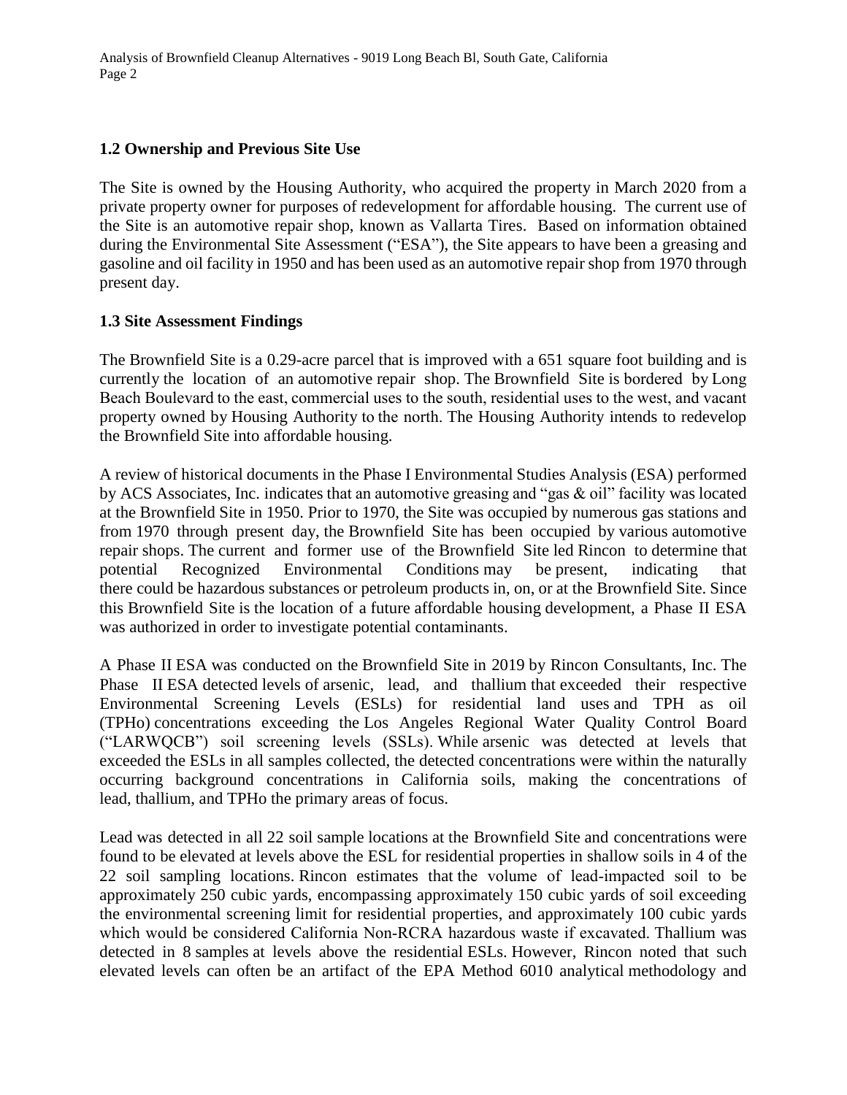Analysis of Brownfield Cleanup Alternatives - 9019 Long Beach Bl, South Gate, California Page 2

#### **1.2 Ownership and Previous Site Use**

The Site is owned by the Housing Authority, who acquired the property in March 2020 from a private property owner for purposes of redevelopment for affordable housing. The current use of the Site is an automotive repair shop, known as Vallarta Tires. Based on information obtained during the Environmental Site Assessment ("ESA"), the Site appears to have been a greasing and gasoline and oil facility in 1950 and has been used as an automotive repair shop from 1970 through present day.

#### **1.3 Site Assessment Findings**

The Brownfield Site is a 0.29-acre parcel that is improved with a 651 square foot building and is currently the location of an automotive repair shop. The Brownfield Site is bordered by Long Beach Boulevard to the east, commercial uses to the south, residential uses to the west, and vacant property owned by Housing Authority to the north. The Housing Authority intends to redevelop the Brownfield Site into affordable housing.

A review of historical documents in the Phase I Environmental Studies Analysis (ESA) performed by ACS Associates, Inc. indicates that an automotive greasing and "gas & oil" facility was located at the Brownfield Site in 1950. Prior to 1970, the Site was occupied by numerous gas stations and from 1970 through present day, the Brownfield Site has been occupied by various automotive repair shops. The current and former use of the Brownfield Site led Rincon to determine that potential Recognized Environmental Conditions may be present, indicating that there could be hazardous substances or petroleum products in, on, or at the Brownfield Site. Since this Brownfield Site is the location of a future affordable housing development, a Phase II ESA was authorized in order to investigate potential contaminants.

A Phase II ESA was conducted on the Brownfield Site in 2019 by Rincon Consultants, Inc. The Phase II ESA detected levels of arsenic, lead, and thallium that exceeded their respective Environmental Screening Levels (ESLs) for residential land uses and TPH as oil (TPHo) concentrations exceeding the Los Angeles Regional Water Quality Control Board ("LARWQCB") soil screening levels (SSLs). While arsenic was detected at levels that exceeded the ESLs in all samples collected, the detected concentrations were within the naturally occurring background concentrations in California soils, making the concentrations of lead, thallium, and TPHo the primary areas of focus.

Lead was detected in all 22 soil sample locations at the Brownfield Site and concentrations were found to be elevated at levels above the ESL for residential properties in shallow soils in 4 of the 22 soil sampling locations. Rincon estimates that the volume of lead‐impacted soil to be approximately 250 cubic yards, encompassing approximately 150 cubic yards of soil exceeding the environmental screening limit for residential properties, and approximately 100 cubic yards which would be considered California Non-RCRA hazardous waste if excavated. Thallium was detected in 8 samples at levels above the residential ESLs. However, Rincon noted that such elevated levels can often be an artifact of the EPA Method 6010 analytical methodology and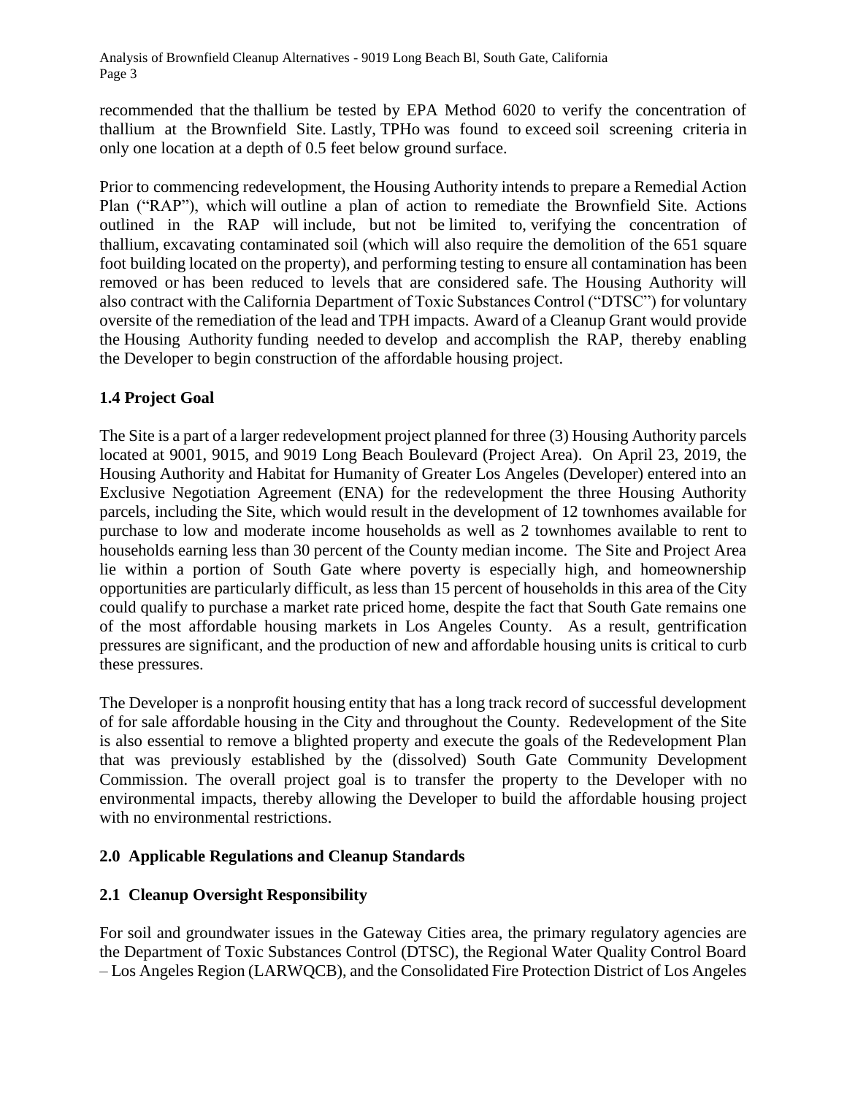Analysis of Brownfield Cleanup Alternatives - 9019 Long Beach Bl, South Gate, California Page 3

recommended that the thallium be tested by EPA Method 6020 to verify the concentration of thallium at the Brownfield Site. Lastly, TPHo was found to exceed soil screening criteria in only one location at a depth of 0.5 feet below ground surface.

Prior to commencing redevelopment, the Housing Authority intends to prepare a Remedial Action Plan ("RAP"), which will outline a plan of action to remediate the Brownfield Site. Actions outlined in the RAP will include, but not be limited to, verifying the concentration of thallium, excavating contaminated soil (which will also require the demolition of the 651 square foot building located on the property), and performing testing to ensure all contamination has been removed or has been reduced to levels that are considered safe. The Housing Authority will also contract with the California Department of Toxic Substances Control ("DTSC") for voluntary oversite of the remediation of the lead and TPH impacts. Award of a Cleanup Grant would provide the Housing Authority funding needed to develop and accomplish the RAP, thereby enabling the Developer to begin construction of the affordable housing project.

## **1.4 Project Goal**

The Site is a part of a larger redevelopment project planned for three (3) Housing Authority parcels located at 9001, 9015, and 9019 Long Beach Boulevard (Project Area). On April 23, 2019, the Housing Authority and Habitat for Humanity of Greater Los Angeles (Developer) entered into an Exclusive Negotiation Agreement (ENA) for the redevelopment the three Housing Authority parcels, including the Site, which would result in the development of 12 townhomes available for purchase to low and moderate income households as well as 2 townhomes available to rent to households earning less than 30 percent of the County median income. The Site and Project Area lie within a portion of South Gate where poverty is especially high, and homeownership opportunities are particularly difficult, as less than 15 percent of households in this area of the City could qualify to purchase a market rate priced home, despite the fact that South Gate remains one of the most affordable housing markets in Los Angeles County. As a result, gentrification pressures are significant, and the production of new and affordable housing units is critical to curb these pressures.

The Developer is a nonprofit housing entity that has a long track record of successful development of for sale affordable housing in the City and throughout the County. Redevelopment of the Site is also essential to remove a blighted property and execute the goals of the Redevelopment Plan that was previously established by the (dissolved) South Gate Community Development Commission. The overall project goal is to transfer the property to the Developer with no environmental impacts, thereby allowing the Developer to build the affordable housing project with no environmental restrictions.

## **2.0 Applicable Regulations and Cleanup Standards**

## **2.1 Cleanup Oversight Responsibility**

For soil and groundwater issues in the Gateway Cities area, the primary regulatory agencies are the Department of Toxic Substances Control (DTSC), the Regional Water Quality Control Board – Los Angeles Region (LARWQCB), and the Consolidated Fire Protection District of Los Angeles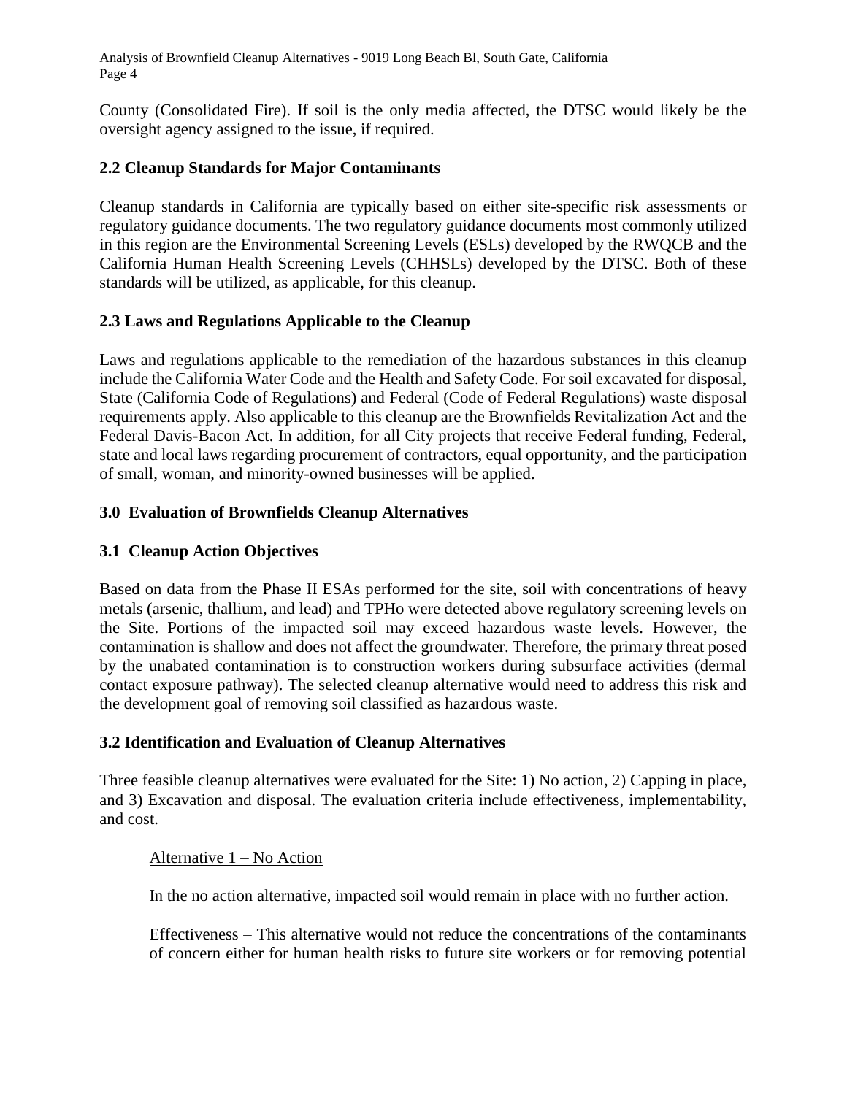Analysis of Brownfield Cleanup Alternatives - 9019 Long Beach Bl, South Gate, California Page 4

County (Consolidated Fire). If soil is the only media affected, the DTSC would likely be the oversight agency assigned to the issue, if required.

## **2.2 Cleanup Standards for Major Contaminants**

Cleanup standards in California are typically based on either site-specific risk assessments or regulatory guidance documents. The two regulatory guidance documents most commonly utilized in this region are the Environmental Screening Levels (ESLs) developed by the RWQCB and the California Human Health Screening Levels (CHHSLs) developed by the DTSC. Both of these standards will be utilized, as applicable, for this cleanup.

#### **2.3 Laws and Regulations Applicable to the Cleanup**

Laws and regulations applicable to the remediation of the hazardous substances in this cleanup include the California Water Code and the Health and Safety Code. For soil excavated for disposal, State (California Code of Regulations) and Federal (Code of Federal Regulations) waste disposal requirements apply. Also applicable to this cleanup are the Brownfields Revitalization Act and the Federal Davis-Bacon Act. In addition, for all City projects that receive Federal funding, Federal, state and local laws regarding procurement of contractors, equal opportunity, and the participation of small, woman, and minority-owned businesses will be applied.

#### **3.0 Evaluation of Brownfields Cleanup Alternatives**

### **3.1 Cleanup Action Objectives**

Based on data from the Phase II ESAs performed for the site, soil with concentrations of heavy metals (arsenic, thallium, and lead) and TPHo were detected above regulatory screening levels on the Site. Portions of the impacted soil may exceed hazardous waste levels. However, the contamination is shallow and does not affect the groundwater. Therefore, the primary threat posed by the unabated contamination is to construction workers during subsurface activities (dermal contact exposure pathway). The selected cleanup alternative would need to address this risk and the development goal of removing soil classified as hazardous waste.

#### **3.2 Identification and Evaluation of Cleanup Alternatives**

Three feasible cleanup alternatives were evaluated for the Site: 1) No action, 2) Capping in place, and 3) Excavation and disposal. The evaluation criteria include effectiveness, implementability, and cost.

#### Alternative 1 – No Action

In the no action alternative, impacted soil would remain in place with no further action.

Effectiveness – This alternative would not reduce the concentrations of the contaminants of concern either for human health risks to future site workers or for removing potential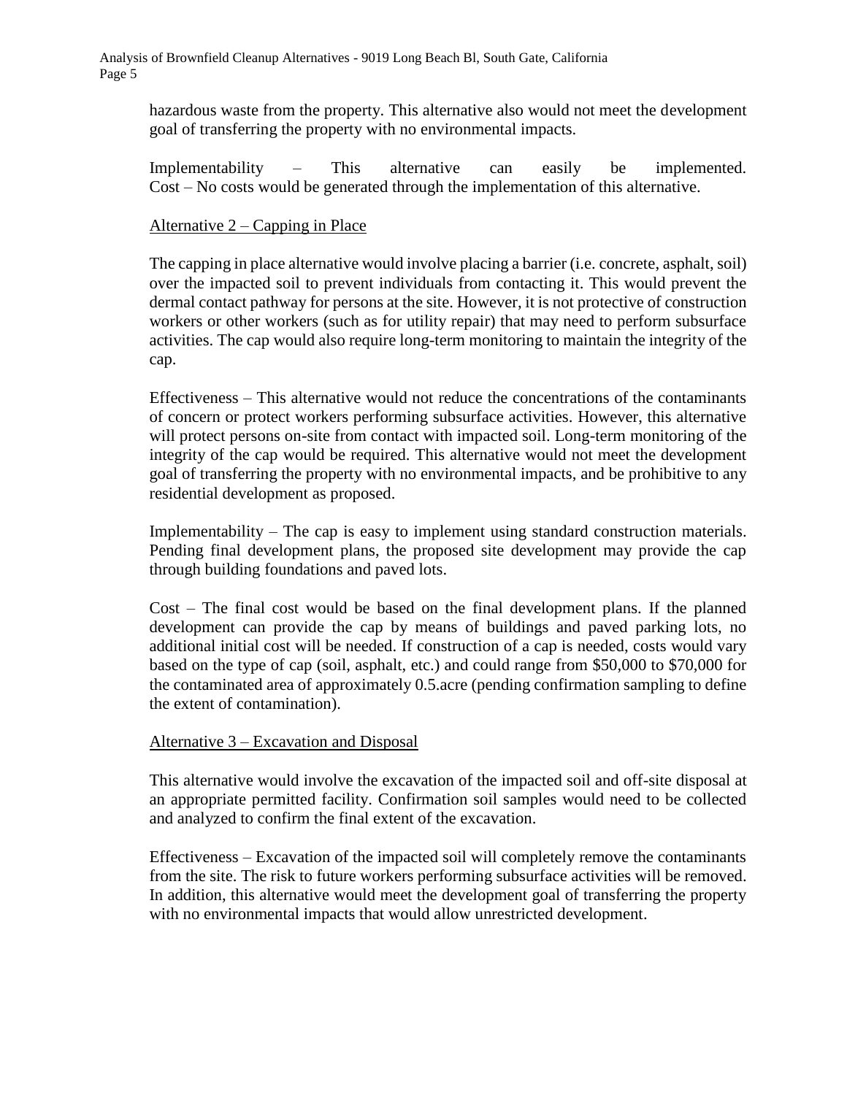hazardous waste from the property. This alternative also would not meet the development goal of transferring the property with no environmental impacts.

Implementability – This alternative can easily be implemented. Cost – No costs would be generated through the implementation of this alternative.

#### Alternative 2 – Capping in Place

The capping in place alternative would involve placing a barrier (i.e. concrete, asphalt, soil) over the impacted soil to prevent individuals from contacting it. This would prevent the dermal contact pathway for persons at the site. However, it is not protective of construction workers or other workers (such as for utility repair) that may need to perform subsurface activities. The cap would also require long-term monitoring to maintain the integrity of the cap.

Effectiveness – This alternative would not reduce the concentrations of the contaminants of concern or protect workers performing subsurface activities. However, this alternative will protect persons on-site from contact with impacted soil. Long-term monitoring of the integrity of the cap would be required. This alternative would not meet the development goal of transferring the property with no environmental impacts, and be prohibitive to any residential development as proposed.

Implementability – The cap is easy to implement using standard construction materials. Pending final development plans, the proposed site development may provide the cap through building foundations and paved lots.

Cost – The final cost would be based on the final development plans. If the planned development can provide the cap by means of buildings and paved parking lots, no additional initial cost will be needed. If construction of a cap is needed, costs would vary based on the type of cap (soil, asphalt, etc.) and could range from \$50,000 to \$70,000 for the contaminated area of approximately 0.5.acre (pending confirmation sampling to define the extent of contamination).

#### Alternative 3 – Excavation and Disposal

This alternative would involve the excavation of the impacted soil and off-site disposal at an appropriate permitted facility. Confirmation soil samples would need to be collected and analyzed to confirm the final extent of the excavation.

Effectiveness – Excavation of the impacted soil will completely remove the contaminants from the site. The risk to future workers performing subsurface activities will be removed. In addition, this alternative would meet the development goal of transferring the property with no environmental impacts that would allow unrestricted development.